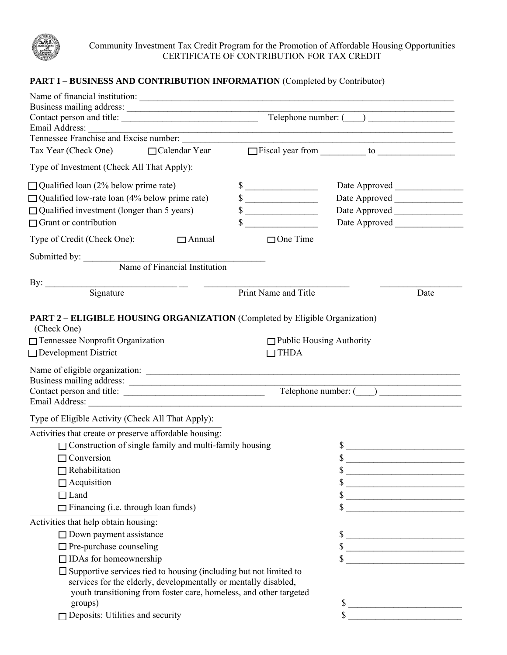

Community Investment Tax Credit Program for the Promotion of Affordable Housing Opportunities CERTIFICATE OF CONTRIBUTION FOR TAX CREDIT

## PART I - BUSINESS AND CONTRIBUTION INFORMATION (Completed by Contributor)

| Name of financial institution:                                                             |                                                                                                                                                                                                                      |                                 |                                                                                                                                                                                                                                                                                                                                                                                                                      |      |  |
|--------------------------------------------------------------------------------------------|----------------------------------------------------------------------------------------------------------------------------------------------------------------------------------------------------------------------|---------------------------------|----------------------------------------------------------------------------------------------------------------------------------------------------------------------------------------------------------------------------------------------------------------------------------------------------------------------------------------------------------------------------------------------------------------------|------|--|
|                                                                                            | Business mailing address:<br>Contact person and title: <u>Contact person and title</u> Contact person and title:                                                                                                     |                                 |                                                                                                                                                                                                                                                                                                                                                                                                                      |      |  |
| Tennessee Franchise and Excise number:                                                     |                                                                                                                                                                                                                      |                                 |                                                                                                                                                                                                                                                                                                                                                                                                                      |      |  |
| Tax Year (Check One)                                                                       | $\Box$ Calendar Year                                                                                                                                                                                                 |                                 |                                                                                                                                                                                                                                                                                                                                                                                                                      |      |  |
| Type of Investment (Check All That Apply):                                                 |                                                                                                                                                                                                                      |                                 |                                                                                                                                                                                                                                                                                                                                                                                                                      |      |  |
| $\Box$ Qualified loan (2% below prime rate)                                                |                                                                                                                                                                                                                      | $\sim$                          |                                                                                                                                                                                                                                                                                                                                                                                                                      |      |  |
| $\Box$ Qualified low-rate loan (4% below prime rate)                                       |                                                                                                                                                                                                                      | $\frac{\text{S}}{\text{S}}$     |                                                                                                                                                                                                                                                                                                                                                                                                                      |      |  |
| $\Box$ Qualified investment (longer than 5 years)                                          |                                                                                                                                                                                                                      | $\sim$                          |                                                                                                                                                                                                                                                                                                                                                                                                                      |      |  |
| $\Box$ Grant or contribution                                                               |                                                                                                                                                                                                                      |                                 |                                                                                                                                                                                                                                                                                                                                                                                                                      |      |  |
| Type of Credit (Check One):                                                                | $\Box$ Annual                                                                                                                                                                                                        | $\Box$ One Time                 |                                                                                                                                                                                                                                                                                                                                                                                                                      |      |  |
| Submitted by: Name of Financial Institution                                                |                                                                                                                                                                                                                      |                                 |                                                                                                                                                                                                                                                                                                                                                                                                                      |      |  |
|                                                                                            |                                                                                                                                                                                                                      |                                 |                                                                                                                                                                                                                                                                                                                                                                                                                      |      |  |
| By: $\qquad \qquad$                                                                        |                                                                                                                                                                                                                      |                                 |                                                                                                                                                                                                                                                                                                                                                                                                                      |      |  |
|                                                                                            |                                                                                                                                                                                                                      | Print Name and Title            |                                                                                                                                                                                                                                                                                                                                                                                                                      | Date |  |
| PART 2 - ELIGIBLE HOUSING ORGANIZATION (Completed by Eligible Organization)<br>(Check One) |                                                                                                                                                                                                                      |                                 |                                                                                                                                                                                                                                                                                                                                                                                                                      |      |  |
| □ Tennessee Nonprofit Organization                                                         |                                                                                                                                                                                                                      | $\Box$ Public Housing Authority |                                                                                                                                                                                                                                                                                                                                                                                                                      |      |  |
| $\Box$ Development District                                                                |                                                                                                                                                                                                                      | $\Box$ THDA                     |                                                                                                                                                                                                                                                                                                                                                                                                                      |      |  |
| Business mailing address:<br>Contact person and title:                                     |                                                                                                                                                                                                                      |                                 |                                                                                                                                                                                                                                                                                                                                                                                                                      |      |  |
|                                                                                            |                                                                                                                                                                                                                      |                                 |                                                                                                                                                                                                                                                                                                                                                                                                                      |      |  |
| Type of Eligible Activity (Check All That Apply):                                          |                                                                                                                                                                                                                      |                                 |                                                                                                                                                                                                                                                                                                                                                                                                                      |      |  |
| Activities that create or preserve affordable housing:                                     |                                                                                                                                                                                                                      |                                 |                                                                                                                                                                                                                                                                                                                                                                                                                      |      |  |
| $\Box$ Construction of single family and multi-family housing                              |                                                                                                                                                                                                                      |                                 | \$                                                                                                                                                                                                                                                                                                                                                                                                                   |      |  |
| $\Box$ Conversion                                                                          |                                                                                                                                                                                                                      |                                 | \$                                                                                                                                                                                                                                                                                                                                                                                                                   |      |  |
| $\Box$ Rehabilitation                                                                      |                                                                                                                                                                                                                      |                                 | $\sim$                                                                                                                                                                                                                                                                                                                                                                                                               |      |  |
| $\Box$ Acquisition                                                                         |                                                                                                                                                                                                                      |                                 | $\sim$                                                                                                                                                                                                                                                                                                                                                                                                               |      |  |
| $\Box$ Land                                                                                |                                                                                                                                                                                                                      |                                 | $\sim$                                                                                                                                                                                                                                                                                                                                                                                                               |      |  |
| $\Box$ Financing (i.e. through loan funds)                                                 |                                                                                                                                                                                                                      |                                 | $\sim$                                                                                                                                                                                                                                                                                                                                                                                                               |      |  |
| Activities that help obtain housing:                                                       |                                                                                                                                                                                                                      |                                 |                                                                                                                                                                                                                                                                                                                                                                                                                      |      |  |
| $\Box$ Down payment assistance                                                             |                                                                                                                                                                                                                      |                                 | $\sim$                                                                                                                                                                                                                                                                                                                                                                                                               |      |  |
| $\Box$ Pre-purchase counseling                                                             |                                                                                                                                                                                                                      |                                 | $\sim$                                                                                                                                                                                                                                                                                                                                                                                                               |      |  |
| $\Box$ IDAs for homeownership                                                              |                                                                                                                                                                                                                      |                                 | $\frac{1}{\sqrt{1-\frac{1}{2}}\sqrt{1-\frac{1}{2}}\sqrt{1-\frac{1}{2}}\sqrt{1-\frac{1}{2}}\sqrt{1-\frac{1}{2}}\sqrt{1-\frac{1}{2}}\sqrt{1-\frac{1}{2}}\sqrt{1-\frac{1}{2}}\sqrt{1-\frac{1}{2}}\sqrt{1-\frac{1}{2}}\sqrt{1-\frac{1}{2}}\sqrt{1-\frac{1}{2}}\sqrt{1-\frac{1}{2}}\sqrt{1-\frac{1}{2}}\sqrt{1-\frac{1}{2}}\sqrt{1-\frac{1}{2}}\sqrt{1-\frac{1}{2}}\sqrt{1-\frac{1}{2}}\sqrt{1-\frac{1}{2}}\sqrt{1-\frac$ |      |  |
|                                                                                            | $\square$ Supportive services tied to housing (including but not limited to<br>services for the elderly, developmentally or mentally disabled,<br>youth transitioning from foster care, homeless, and other targeted |                                 |                                                                                                                                                                                                                                                                                                                                                                                                                      |      |  |
| groups)                                                                                    |                                                                                                                                                                                                                      |                                 | $\sim$                                                                                                                                                                                                                                                                                                                                                                                                               |      |  |
| $\Box$ Deposits: Utilities and security                                                    |                                                                                                                                                                                                                      |                                 | $\mathbf{\hat{S}}$                                                                                                                                                                                                                                                                                                                                                                                                   |      |  |
|                                                                                            |                                                                                                                                                                                                                      |                                 |                                                                                                                                                                                                                                                                                                                                                                                                                      |      |  |